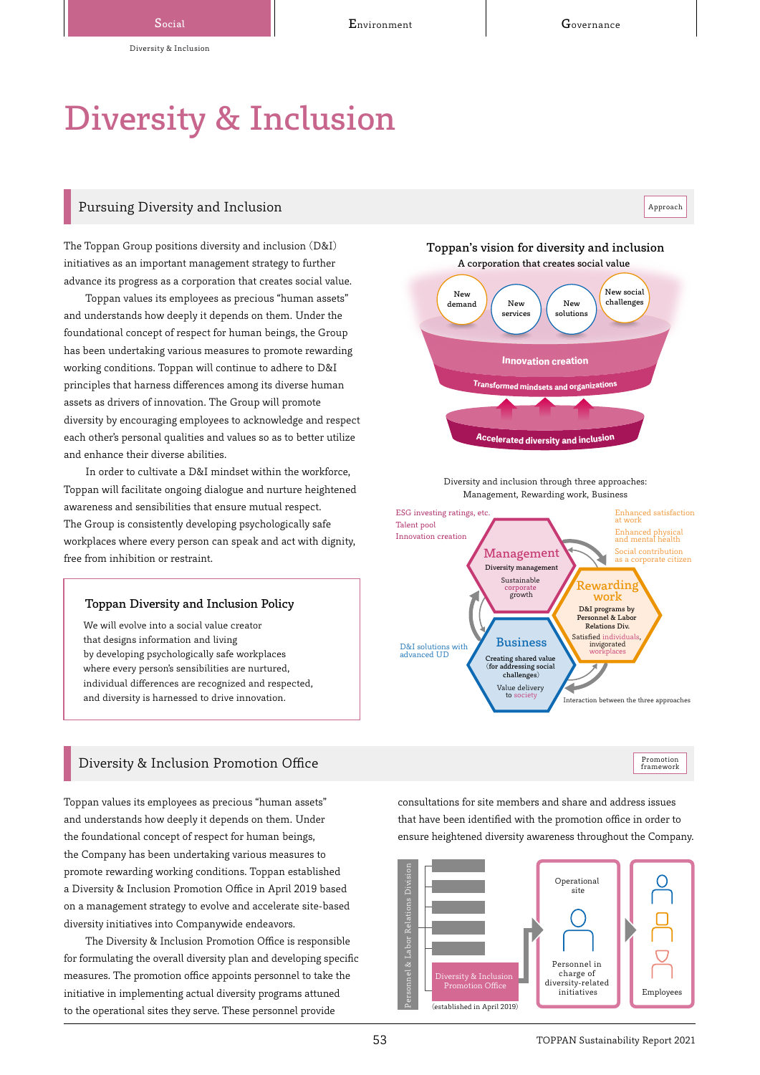Approach

# Diversity & Inclusion

# Pursuing Diversity and Inclusion

The Toppan Group positions diversity and inclusion (D&I) initiatives as an important management strategy to further advance its progress as a corporation that creates social value.

Toppan values its employees as precious "human assets" and understands how deeply it depends on them. Under the foundational concept of respect for human beings, the Group has been undertaking various measures to promote rewarding working conditions. Toppan will continue to adhere to D&I principles that harness differences among its diverse human assets as drivers of innovation. The Group will promote diversity by encouraging employees to acknowledge and respect each other's personal qualities and values so as to better utilize and enhance their diverse abilities.

In order to cultivate a D&I mindset within the workforce, Toppan will facilitate ongoing dialogue and nurture heightened awareness and sensibilities that ensure mutual respect. The Group is consistently developing psychologically safe workplaces where every person can speak and act with dignity, free from inhibition or restraint.

#### Toppan Diversity and Inclusion Policy

We will evolve into a social value creator that designs information and living by developing psychologically safe workplaces where every person's sensibilities are nurtured, individual differences are recognized and respected, and diversity is harnessed to drive innovation.

# Diversity & Inclusion Promotion Office

Toppan values its employees as precious "human assets" and understands how deeply it depends on them. Under the foundational concept of respect for human beings, the Company has been undertaking various measures to promote rewarding working conditions. Toppan established a Diversity & Inclusion Promotion Office in April 2019 based on a management strategy to evolve and accelerate site-based diversity initiatives into Companywide endeavors.

The Diversity & Inclusion Promotion Office is responsible for formulating the overall diversity plan and developing specific measures. The promotion office appoints personnel to take the initiative in implementing actual diversity programs attuned to the operational sites they serve. These personnel provide

Toppan's vision for diversity and inclusion A corporation that creates social value



Diversity and inclusion through three approaches: Management, Rewarding work, Business



Promotion framework

consultations for site members and share and address issues that have been identified with the promotion office in order to ensure heightened diversity awareness throughout the Company.

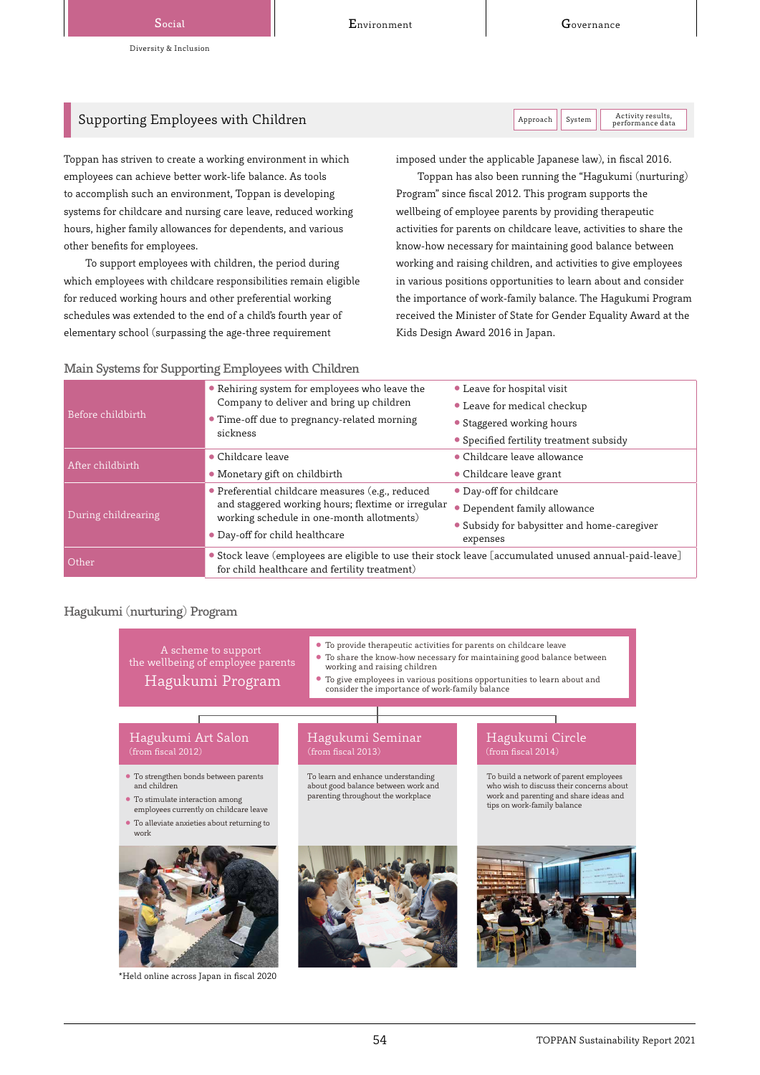Activity results,<br>performance data

# Supporting Employees with Children  $\vert$  Approach  $\vert$  Approach  $\vert$  System

Toppan has striven to create a working environment in which employees can achieve better work-life balance. As tools to accomplish such an environment, Toppan is developing systems for childcare and nursing care leave, reduced working hours, higher family allowances for dependents, and various other benefits for employees.

To support employees with children, the period during which employees with childcare responsibilities remain eligible for reduced working hours and other preferential working schedules was extended to the end of a child's fourth year of elementary school (surpassing the age-three requirement

imposed under the applicable Japanese law), in fiscal 2016.

Toppan has also been running the "Hagukumi (nurturing) Program" since fiscal 2012. This program supports the wellbeing of employee parents by providing therapeutic activities for parents on childcare leave, activities to share the know-how necessary for maintaining good balance between working and raising children, and activities to give employees in various positions opportunities to learn about and consider the importance of work-family balance. The Hagukumi Program received the Minister of State for Gender Equality Award at the Kids Design Award 2016 in Japan.

# Main Systems for Supporting Employees with Children

| Before childbirth   | • Rehiring system for employees who leave the                                                         | • Leave for hospital visit                  |  |  |
|---------------------|-------------------------------------------------------------------------------------------------------|---------------------------------------------|--|--|
|                     | Company to deliver and bring up children                                                              | • Leave for medical checkup                 |  |  |
|                     | • Time-off due to pregnancy-related morning<br>sickness                                               | • Staggered working hours                   |  |  |
|                     |                                                                                                       | • Specified fertility treatment subsidy     |  |  |
| After childbirth    | • Childcare leave                                                                                     | • Childcare leave allowance                 |  |  |
|                     | • Monetary gift on childbirth                                                                         | • Childcare leave grant                     |  |  |
| During childrearing | • Preferential childcare measures (e.g., reduced                                                      | • Day-off for childcare                     |  |  |
|                     | and staggered working hours; flextime or irregular                                                    | • Dependent family allowance                |  |  |
|                     | working schedule in one-month allotments)                                                             | • Subsidy for babysitter and home-caregiver |  |  |
|                     | • Day-off for child healthcare                                                                        | expenses                                    |  |  |
| <b>Other</b>        | • Stock leave (employees are eligible to use their stock leave [accumulated unused annual-paid-leave] |                                             |  |  |
|                     | for child healthcare and fertility treatment)                                                         |                                             |  |  |

## Hagukumi (nurturing) Program

● To strengthen bonds between parents ● To stimulate interaction among ● To alleviate anxieties about returning to ● To provide therapeutic activities for parents on childcare leave To share the know-how necessary for maintaining good balance between working and raising children Hagukumi Program Consider the importance of work-family balance to learn about and consider the importance of work-family balance Hagukumi Art Salon Hagukumi Seminar Hagukumi Circle A scheme to support the wellbeing of employee parents and children employees currently on childcare leave work To learn and enhance understanding about good balance between work and parenting throughout the workplace

To build a network of parent employees

who wish to discuss their concerns about work and parenting and share ideas and tips on work-family balance



\*Held online across Japan in fiscal 2020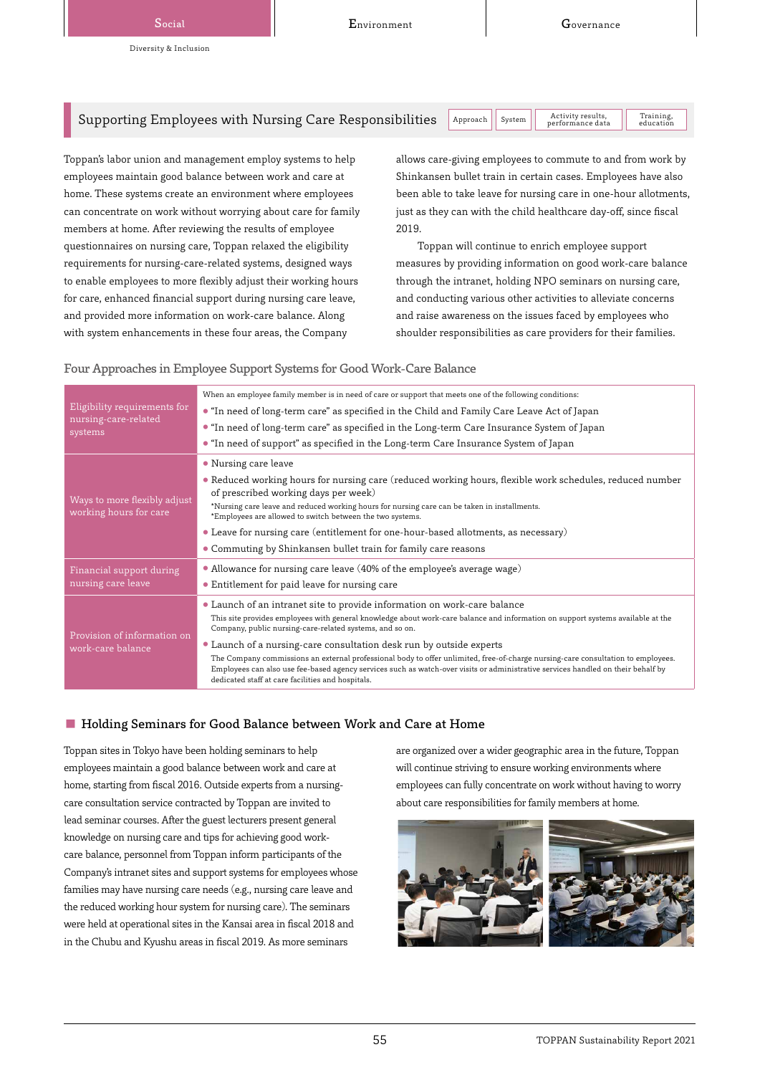# Supporting Employees with Nursing Care Responsibilities  $\|$  Approach  $\|$  System

Activity results,<br>performance data Training,<br>education

Toppan's labor union and management employ systems to help employees maintain good balance between work and care at home. These systems create an environment where employees can concentrate on work without worrying about care for family members at home. After reviewing the results of employee questionnaires on nursing care, Toppan relaxed the eligibility requirements for nursing-care-related systems, designed ways to enable employees to more flexibly adjust their working hours for care, enhanced financial support during nursing care leave, and provided more information on work-care balance. Along with system enhancements in these four areas, the Company

allows care-giving employees to commute to and from work by Shinkansen bullet train in certain cases. Employees have also been able to take leave for nursing care in one-hour allotments, just as they can with the child healthcare day-off, since fiscal 2019.

Toppan will continue to enrich employee support measures by providing information on good work-care balance through the intranet, holding NPO seminars on nursing care, and conducting various other activities to alleviate concerns and raise awareness on the issues faced by employees who shoulder responsibilities as care providers for their families.

#### Four Approaches in Employee Support Systems for Good Work-Care Balance

| Eligibility requirements for<br>nursing-care-related<br>systems | When an employee family member is in need of care or support that meets one of the following conditions:<br>• "In need of long-term care" as specified in the Child and Family Care Leave Act of Japan<br>• "In need of long-term care" as specified in the Long-term Care Insurance System of Japan<br>• "In need of support" as specified in the Long-term Care Insurance System of Japan                                                                                                                                                                                                                                                                                 |  |  |  |
|-----------------------------------------------------------------|-----------------------------------------------------------------------------------------------------------------------------------------------------------------------------------------------------------------------------------------------------------------------------------------------------------------------------------------------------------------------------------------------------------------------------------------------------------------------------------------------------------------------------------------------------------------------------------------------------------------------------------------------------------------------------|--|--|--|
| Ways to more flexibly adjust<br>working hours for care          | • Nursing care leave<br>• Reduced working hours for nursing care (reduced working hours, flexible work schedules, reduced number<br>of prescribed working days per week)<br>*Nursing care leave and reduced working hours for nursing care can be taken in installments.<br>*Employees are allowed to switch between the two systems.<br>• Leave for nursing care (entitlement for one-hour-based allotments, as necessary)<br>• Commuting by Shinkansen bullet train for family care reasons                                                                                                                                                                               |  |  |  |
| Financial support during<br>nursing care leave                  | • Allowance for nursing care leave (40% of the employee's average wage)<br>• Entitlement for paid leave for nursing care                                                                                                                                                                                                                                                                                                                                                                                                                                                                                                                                                    |  |  |  |
| Provision of information on<br>work-care balance                | • Launch of an intranet site to provide information on work-care balance<br>This site provides employees with general knowledge about work-care balance and information on support systems available at the<br>Company, public nursing-care-related systems, and so on.<br>• Launch of a nursing-care consultation desk run by outside experts<br>The Company commissions an external professional body to offer unlimited, free-of-charge nursing-care consultation to employees.<br>Employees can also use fee-based agency services such as watch-over visits or administrative services handled on their behalf by<br>dedicated staff at care facilities and hospitals. |  |  |  |

#### ■ Holding Seminars for Good Balance between Work and Care at Home

Toppan sites in Tokyo have been holding seminars to help employees maintain a good balance between work and care at home, starting from fiscal 2016. Outside experts from a nursingcare consultation service contracted by Toppan are invited to lead seminar courses. After the guest lecturers present general knowledge on nursing care and tips for achieving good workcare balance, personnel from Toppan inform participants of the Company's intranet sites and support systems for employees whose families may have nursing care needs (e.g., nursing care leave and the reduced working hour system for nursing care). The seminars were held at operational sites in the Kansai area in fiscal 2018 and in the Chubu and Kyushu areas in fiscal 2019. As more seminars

are organized over a wider geographic area in the future, Toppan will continue striving to ensure working environments where employees can fully concentrate on work without having to worry about care responsibilities for family members at home.

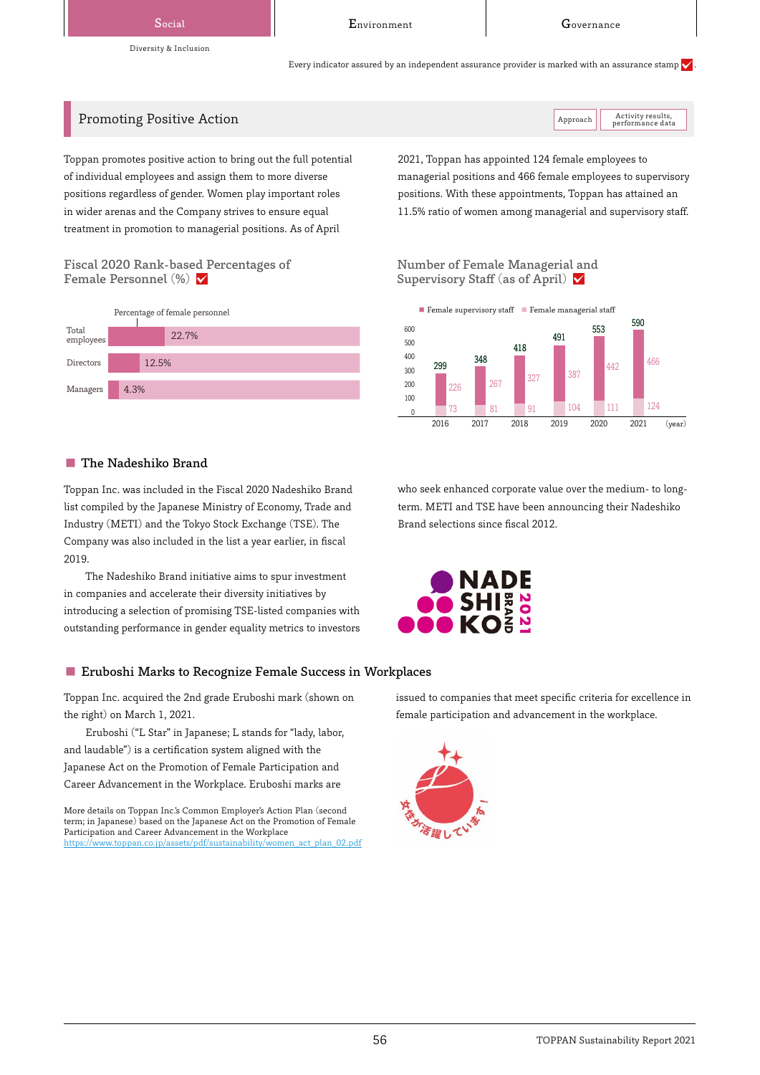Diversity & Inclusion

Social **Covernance Covernance Environment** Covernance

Activity results,<br>performance data

Every indicator assured by an independent assurance provider is marked with an assurance stamp  $\checkmark$ 

# Promoting Positive Action Action Action Activity results, and Approach Approach Approach Approach Action Action

Toppan promotes positive action to bring out the full potential of individual employees and assign them to more diverse positions regardless of gender. Women play important roles in wider arenas and the Company strives to ensure equal treatment in promotion to managerial positions. As of April

### Fiscal 2020 Rank-based Percentages of Female Personnel  $(\%)$   $\blacktriangledown$

|                    | Percentage of female personnel |       |  |  |
|--------------------|--------------------------------|-------|--|--|
| Total<br>employees |                                | 22.7% |  |  |
| <b>Directors</b>   |                                | 12.5% |  |  |
| Managers           | 4.3%                           |       |  |  |

#### ■ The Nadeshiko Brand

Toppan Inc. was included in the Fiscal 2020 Nadeshiko Brand list compiled by the Japanese Ministry of Economy, Trade and Industry (METI) and the Tokyo Stock Exchange (TSE). The Company was also included in the list a year earlier, in fiscal 2019.

The Nadeshiko Brand initiative aims to spur investment in companies and accelerate their diversity initiatives by introducing a selection of promising TSE-listed companies with outstanding performance in gender equality metrics to investors

## ■ Eruboshi Marks to Recognize Female Success in Workplaces

Toppan Inc. acquired the 2nd grade Eruboshi mark (shown on the right) on March 1, 2021.

Eruboshi ("L Star" in Japanese; L stands for "lady, labor, and laudable") is a certification system aligned with the Japanese Act on the Promotion of Female Participation and Career Advancement in the Workplace. Eruboshi marks are

More details on Toppan Inc.'s Common Employer's Action Plan (second term; in Japanese) based on the Japanese Act on the Promotion of Female Participation and Career Advancement in the Workplace www.toppan.co.jp/assets/pdf/sustainability/women\_act\_plan\_02.pdf 2021, Toppan has appointed 124 female employees to managerial positions and 466 female employees to supervisory positions. With these appointments, Toppan has attained an 11.5% ratio of women among managerial and supervisory staff.

Number of Female Managerial and Supervisory Staff (as of April)  $\checkmark$ 



who seek enhanced corporate value over the medium- to longterm. METI and TSE have been announcing their Nadeshiko Brand selections since fiscal 2012.



issued to companies that meet specific criteria for excellence in female participation and advancement in the workplace.

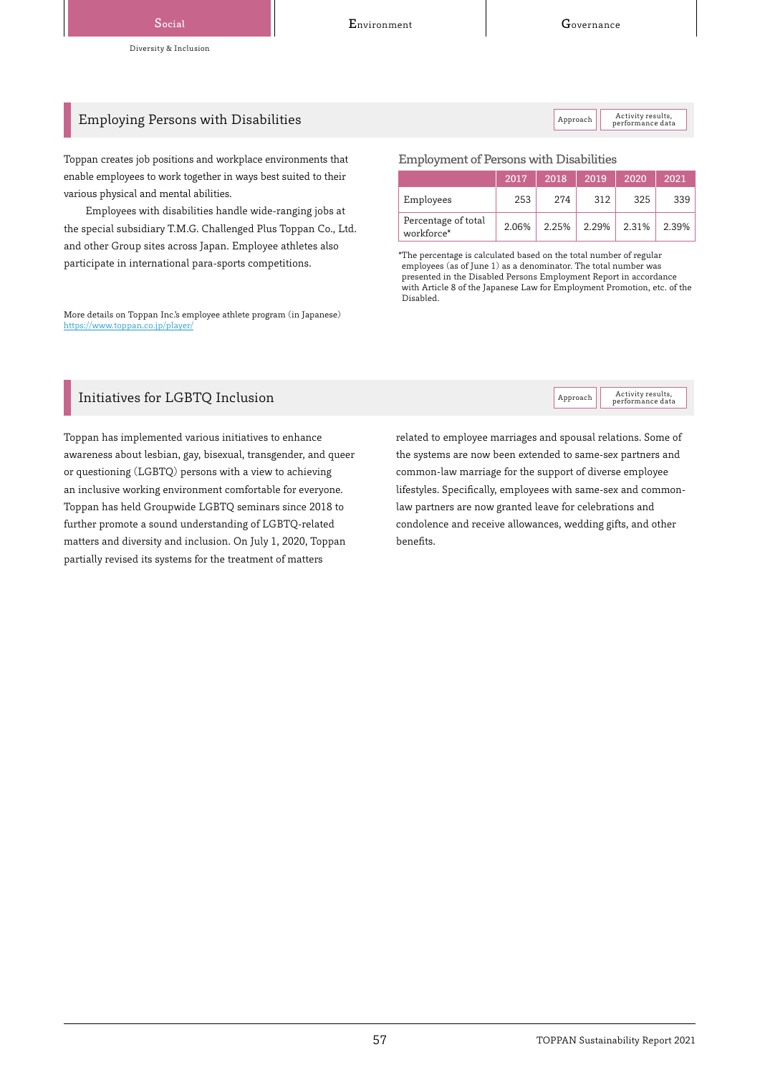Activity results,<br>performance data

Activity results,<br>performance data

# Employing Persons with Disabilities  $\vert$  Approach Activity results,  $\vert$  Approach  $\vert$  Approach  $\vert$  Approach  $\vert$  Approach  $\vert$  Approach  $\vert$  Approach  $\vert$  approach  $\vert$  approach  $\vert$  approach  $\vert$  approach  $\vert$  approach

Toppan creates job positions and workplace environments that enable employees to work together in ways best suited to their various physical and mental abilities.

Employees with disabilities handle wide-ranging jobs at the special subsidiary T.M.G. Challenged Plus Toppan Co., Ltd. and other Group sites across Japan. Employee athletes also participate in international para-sports competitions.

More details on Toppan Inc.'s employee athlete program (in Japanese) <https://www.toppan.co.jp/player/>

#### Employment of Persons with Disabilities

|                                   | 2017  | 2018  | 2019  | 2020  | 2021  |
|-----------------------------------|-------|-------|-------|-------|-------|
| Employees                         | 253   | 274   | 312   | 325   | 339   |
| Percentage of total<br>workforce* | 2.06% | 2.25% | 2.29% | 2.31% | 2.39% |

\*The percentage is calculated based on the total number of regular employees (as of June 1) as a denominator. The total number was presented in the Disabled Persons Employment Report in accordance with Article 8 of the Japanese Law for Employment Promotion, etc. of the Disabled.

# Initiatives for  $LGBTQ$  Inclusion  $\Box$  Approach Approach Approach Approach Approach  $\Box$

Toppan has implemented various initiatives to enhance awareness about lesbian, gay, bisexual, transgender, and queer or questioning (LGBTQ) persons with a view to achieving an inclusive working environment comfortable for everyone. Toppan has held Groupwide LGBTQ seminars since 2018 to further promote a sound understanding of LGBTQ-related matters and diversity and inclusion. On July 1, 2020, Toppan partially revised its systems for the treatment of matters

related to employee marriages and spousal relations. Some of the systems are now been extended to same-sex partners and common-law marriage for the support of diverse employee lifestyles. Specifically, employees with same-sex and commonlaw partners are now granted leave for celebrations and condolence and receive allowances, wedding gifts, and other benefits.